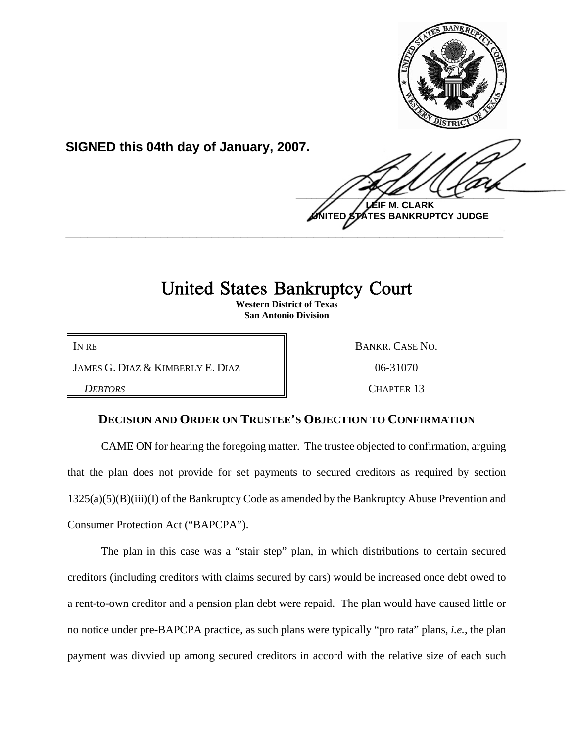

**SIGNED this 04th day of January, 2007.**

 $\frac{1}{2}$ **M. CLARK** 

**UNITED STATES BANKRUPTCY JUDGE \_\_\_\_\_\_\_\_\_\_\_\_\_\_\_\_\_\_\_\_\_\_\_\_\_\_\_\_\_\_\_\_\_\_\_\_\_\_\_\_\_\_\_\_\_\_\_\_\_\_\_\_\_\_\_\_\_\_\_\_**

## United States Bankruptcy Court

**Western District of Texas San Antonio Division**

JAMES G. DIAZ & KIMBERLY E. DIAZ  $\parallel$  06-31070

IN RE BANKR. CASE NO.

*DEBTORS* CHAPTER 13

## **DECISION AND ORDER ON TRUSTEE'S OBJECTION TO CONFIRMATION**

CAME ON for hearing the foregoing matter. The trustee objected to confirmation, arguing that the plan does not provide for set payments to secured creditors as required by section 1325(a)(5)(B)(iii)(I) of the Bankruptcy Code as amended by the Bankruptcy Abuse Prevention and Consumer Protection Act ("BAPCPA").

The plan in this case was a "stair step" plan, in which distributions to certain secured creditors (including creditors with claims secured by cars) would be increased once debt owed to a rent-to-own creditor and a pension plan debt were repaid. The plan would have caused little or no notice under pre-BAPCPA practice, as such plans were typically "pro rata" plans, *i.e.*, the plan payment was divvied up among secured creditors in accord with the relative size of each such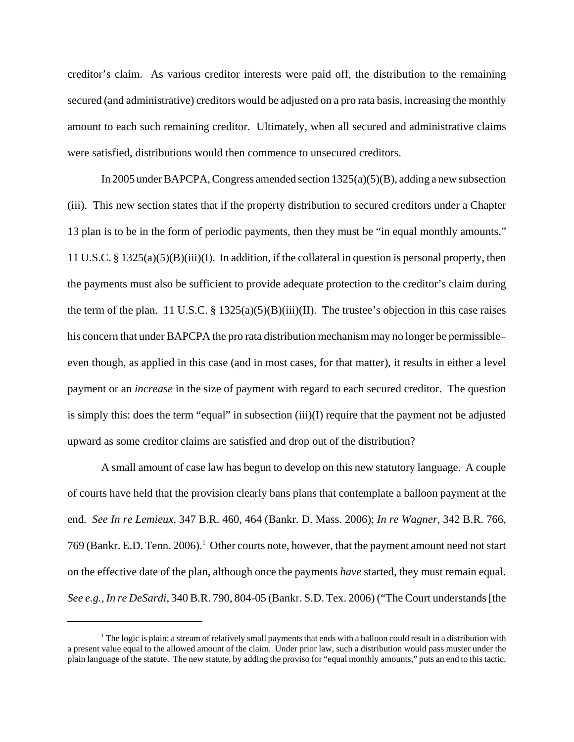creditor's claim. As various creditor interests were paid off, the distribution to the remaining secured (and administrative) creditors would be adjusted on a pro rata basis, increasing the monthly amount to each such remaining creditor. Ultimately, when all secured and administrative claims were satisfied, distributions would then commence to unsecured creditors.

In 2005 under BAPCPA, Congress amended section 1325(a)(5)(B), adding a new subsection (iii). This new section states that if the property distribution to secured creditors under a Chapter 13 plan is to be in the form of periodic payments, then they must be "in equal monthly amounts." 11 U.S.C. § 1325(a)(5)(B)(iii)(I). In addition, if the collateral in question is personal property, then the payments must also be sufficient to provide adequate protection to the creditor's claim during the term of the plan. 11 U.S.C. § 1325(a)(5)(B)(iii)(II). The trustee's objection in this case raises his concern that under BAPCPA the pro rata distribution mechanism may no longer be permissibleeven though, as applied in this case (and in most cases, for that matter), it results in either a level payment or an *increase* in the size of payment with regard to each secured creditor. The question is simply this: does the term "equal" in subsection (iii)(I) require that the payment not be adjusted upward as some creditor claims are satisfied and drop out of the distribution?

A small amount of case law has begun to develop on this new statutory language. A couple of courts have held that the provision clearly bans plans that contemplate a balloon payment at the end. *See In re Lemieux*, 347 B.R. 460, 464 (Bankr. D. Mass. 2006); *In re Wagner*, 342 B.R. 766, 769 (Bankr. E.D. Tenn. 2006).<sup>1</sup> Other courts note, however, that the payment amount need not start on the effective date of the plan, although once the payments *have* started, they must remain equal. *See e.g., In re DeSardi*, 340 B.R. 790, 804-05 (Bankr. S.D. Tex. 2006) ("The Court understands [the

<sup>&</sup>lt;sup>1</sup> The logic is plain: a stream of relatively small payments that ends with a balloon could result in a distribution with a present value equal to the allowed amount of the claim. Under prior law, such a distribution would pass muster under the plain language of the statute. The new statute, by adding the proviso for "equal monthly amounts," puts an end to this tactic.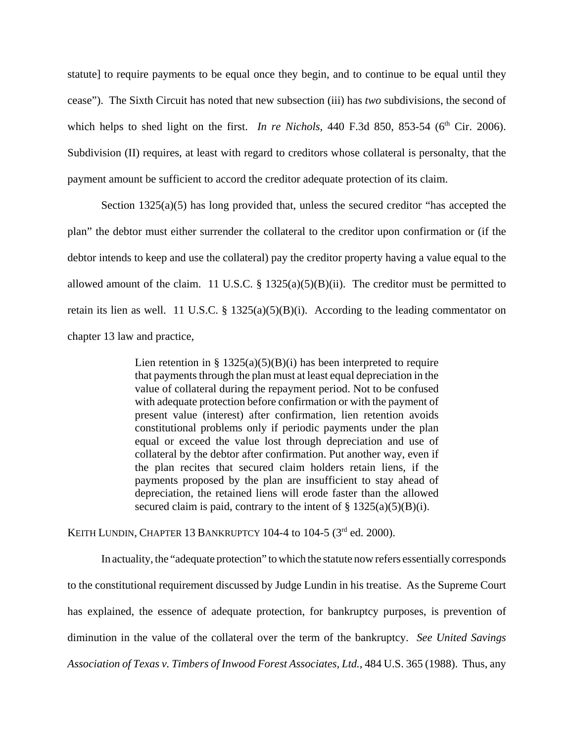statute] to require payments to be equal once they begin, and to continue to be equal until they cease"). The Sixth Circuit has noted that new subsection (iii) has *two* subdivisions, the second of which helps to shed light on the first. *In re Nichols*, 440 F.3d 850, 853-54 (6<sup>th</sup> Cir. 2006). Subdivision (II) requires, at least with regard to creditors whose collateral is personalty, that the payment amount be sufficient to accord the creditor adequate protection of its claim.

Section  $1325(a)(5)$  has long provided that, unless the secured creditor "has accepted the plan" the debtor must either surrender the collateral to the creditor upon confirmation or (if the debtor intends to keep and use the collateral) pay the creditor property having a value equal to the allowed amount of the claim. 11 U.S.C.  $\S$  1325(a)(5)(B)(ii). The creditor must be permitted to retain its lien as well. 11 U.S.C. § 1325(a)(5)(B)(i). According to the leading commentator on chapter 13 law and practice,

> Lien retention in §  $1325(a)(5)(B)(i)$  has been interpreted to require that payments through the plan must at least equal depreciation in the value of collateral during the repayment period. Not to be confused with adequate protection before confirmation or with the payment of present value (interest) after confirmation, lien retention avoids constitutional problems only if periodic payments under the plan equal or exceed the value lost through depreciation and use of collateral by the debtor after confirmation. Put another way, even if the plan recites that secured claim holders retain liens, if the payments proposed by the plan are insufficient to stay ahead of depreciation, the retained liens will erode faster than the allowed secured claim is paid, contrary to the intent of  $\S 1325(a)(5)(B)(i)$ .

KEITH LUNDIN, CHAPTER 13 BANKRUPTCY 104-4 to 104-5  $(3<sup>rd</sup>$  ed. 2000).

In actuality, the "adequate protection" to which the statute now refers essentially corresponds to the constitutional requirement discussed by Judge Lundin in his treatise. As the Supreme Court has explained, the essence of adequate protection, for bankruptcy purposes, is prevention of diminution in the value of the collateral over the term of the bankruptcy. *See United Savings Association of Texas v. Timbers of Inwood Forest Associates, Ltd.*, 484 U.S. 365 (1988). Thus, any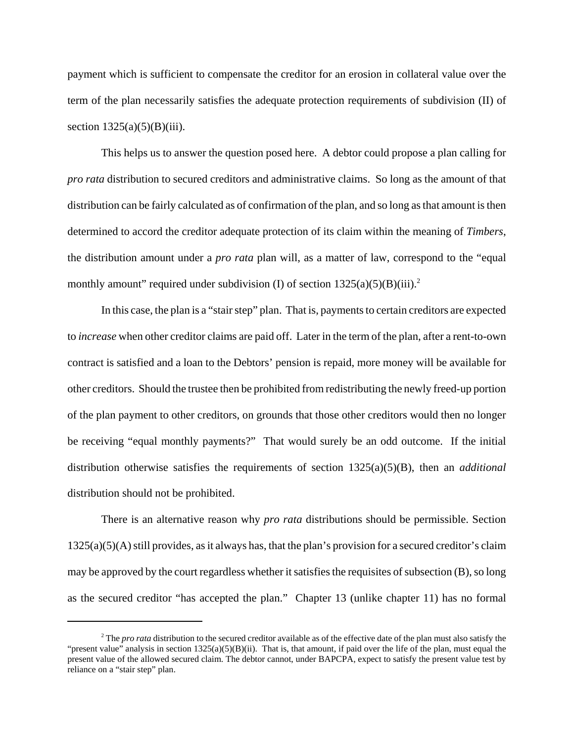payment which is sufficient to compensate the creditor for an erosion in collateral value over the term of the plan necessarily satisfies the adequate protection requirements of subdivision (II) of section  $1325(a)(5)(B)(iii)$ .

This helps us to answer the question posed here. A debtor could propose a plan calling for *pro rata* distribution to secured creditors and administrative claims. So long as the amount of that distribution can be fairly calculated as of confirmation of the plan, and so long as that amount is then determined to accord the creditor adequate protection of its claim within the meaning of *Timbers*, the distribution amount under a *pro rata* plan will, as a matter of law, correspond to the "equal monthly amount" required under subdivision (I) of section  $1325(a)(5)(B)(iii)$ .<sup>2</sup>

In this case, the plan is a "stair step" plan. That is, payments to certain creditors are expected to *increase* when other creditor claims are paid off. Later in the term of the plan, after a rent-to-own contract is satisfied and a loan to the Debtors' pension is repaid, more money will be available for other creditors. Should the trustee then be prohibited from redistributing the newly freed-up portion of the plan payment to other creditors, on grounds that those other creditors would then no longer be receiving "equal monthly payments?" That would surely be an odd outcome. If the initial distribution otherwise satisfies the requirements of section 1325(a)(5)(B), then an *additional* distribution should not be prohibited.

There is an alternative reason why *pro rata* distributions should be permissible. Section 1325(a)(5)(A) still provides, as it always has, that the plan's provision for a secured creditor's claim may be approved by the court regardless whether it satisfies the requisites of subsection (B), so long as the secured creditor "has accepted the plan." Chapter 13 (unlike chapter 11) has no formal

<sup>&</sup>lt;sup>2</sup> The *pro rata* distribution to the secured creditor available as of the effective date of the plan must also satisfy the "present value" analysis in section  $1325(a)(5)(B)(ii)$ . That is, that amount, if paid over the life of the plan, must equal the present value of the allowed secured claim. The debtor cannot, under BAPCPA, expect to satisfy the present value test by reliance on a "stair step" plan.